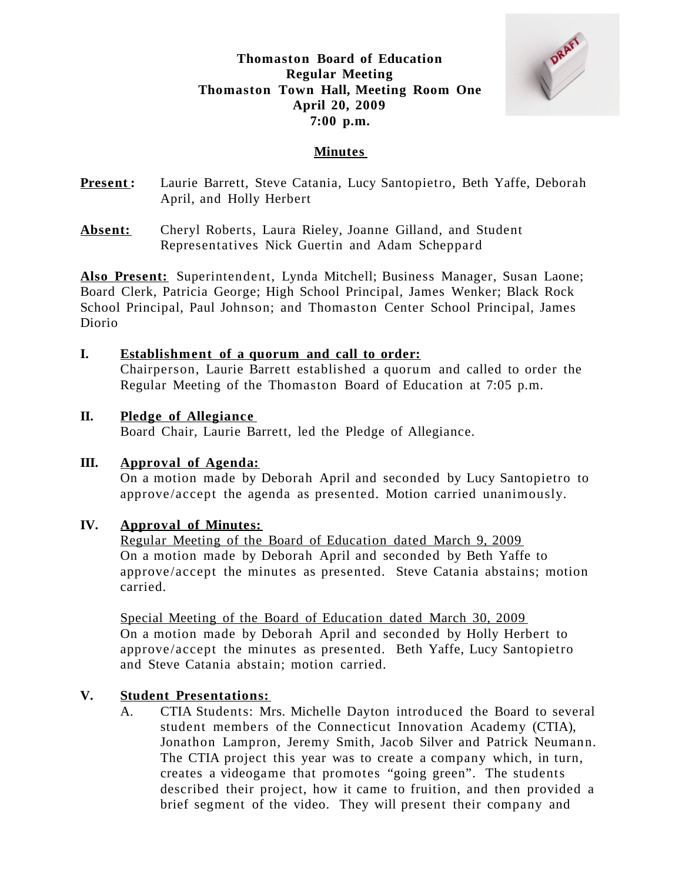**Thomaston Board of Education Regular Meeting Thomaston Town Hall, Meeting Room One April 20, 2009 7:00 p.m.**



## **Minutes**

**Present:** Laurie Barrett, Steve Catania, Lucy Santopietro, Beth Yaffe, Deborah April, and Holly Herbert

**Also Present:** Superintendent, Lynda Mitchell; Business Manager, Susan Laone; Board Clerk, Patricia George; High School Principal, James Wenker; Black Rock School Principal, Paul Johnson; and Thomaston Center School Principal, James Diorio

### **I. Establishment of a quorum and call to order:**

Chairperson, Laurie Barrett established a quorum and called to order the Regular Meeting of the Thomaston Board of Education at 7:05 p.m.

### **II. Pledge of Allegiance**

Board Chair, Laurie Barrett, led the Pledge of Allegiance.

### **III. Approval of Agenda:**

On a motion made by Deborah April and seconded by Lucy Santopietro to approve /accept the agenda as presented. Motion carried unanimously.

#### **IV. Approval of Minutes:**

Regular Meeting of the Board of Education dated March 9, 2009 On a motion made by Deborah April and seconded by Beth Yaffe to approve /accept the minutes as presented. Steve Catania abstains; motion carried.

Special Meeting of the Board of Education dated March 30, 2009 On a motion made by Deborah April and seconded by Holly Herbert to approve /accept the minutes as presented. Beth Yaffe, Lucy Santopietro and Steve Catania abstain; motion carried.

### **V. Student Presentations:**

A. CTIA Students: Mrs. Michelle Dayton introduced the Board to several student members of the Connecticut Innovation Academy (CTIA), Jonathon Lampron, Jeremy Smith, Jacob Silver and Patrick Neumann. The CTIA project this year was to create a company which, in turn, creates a videogame that promotes "going green". The students described their project, how it came to fruition, and then provided a brief segment of the video. They will present their company and

**Absent:** Cheryl Roberts, Laura Rieley, Joanne Gilland, and Student Representatives Nick Guertin and Adam Scheppard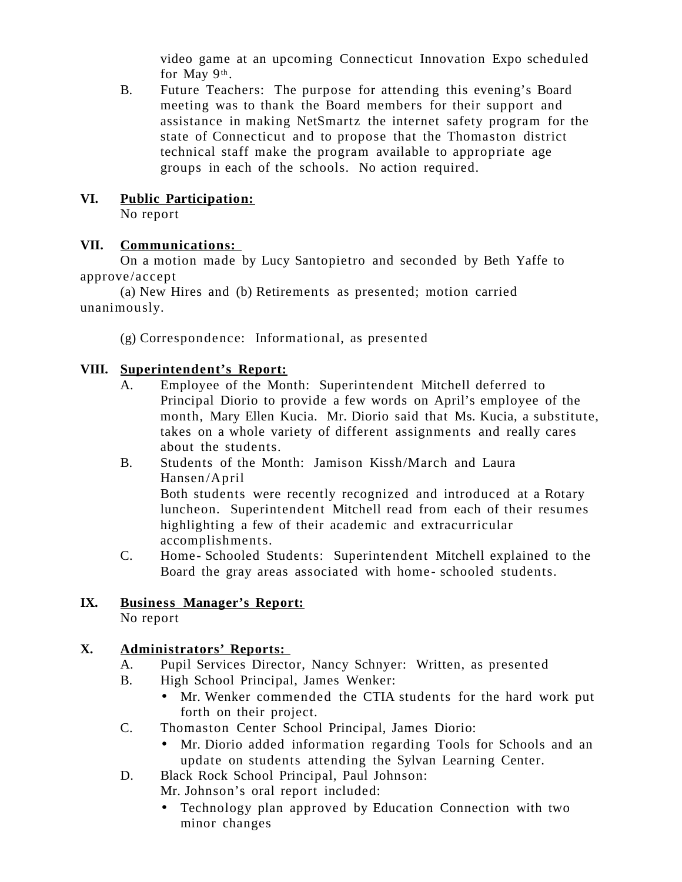video game at an upcoming Connecticut Innovation Expo scheduled for May 9<sup>th</sup>.

B. Future Teachers: The purpose for attending this evening's Board meeting was to thank the Board members for their support and assistance in making NetSmartz the internet safety program for the state of Connecticut and to propose that the Thomaston district technical staff make the program available to appropriate age groups in each of the schools. No action required.

# **VI. Public Participation:**

No report

# **VII. Communications:**

On a motion made by Lucy Santopietro and seconded by Beth Yaffe to approve /accept

(a) New Hires and (b) Retirements as presented; motion carried unanimously.

(g) Correspondence: Informational, as presented

# **VIII. Superintendent's Report:**

- A. Employee of the Month: Superintendent Mitchell deferred to Principal Diorio to provide a few words on April's employee of the month, Mary Ellen Kucia. Mr. Diorio said that Ms. Kucia, a substitute, takes on a whole variety of different assignments and really cares about the students.
- B. Students of the Month: Jamison Kissh/March and Laura Hansen/April Both students were recently recognized and introduced at a Rotary luncheon. Superintendent Mitchell read from each of their resumes highlighting a few of their academic and extracurricular accomplishments.
- C. Home- Schooled Students: Superintendent Mitchell explained to the Board the gray areas associated with home-schooled students.

# **IX. Business Manager's Report:**

No report

# **X. Administrators' Reports:**

- A. Pupil Services Director, Nancy Schnyer: Written, as presented
- B. High School Principal, James Wenker:
	- Mr. Wenker commended the CTIA students for the hard work put forth on their project.
- C. Thomaston Center School Principal, James Diorio:
	- Mr. Diorio added information regarding Tools for Schools and an update on students attending the Sylvan Learning Center.
- D. Black Rock School Principal, Paul Johnson: Mr. Johnson's oral report included:
	- Technology plan approved by Education Connection with two minor changes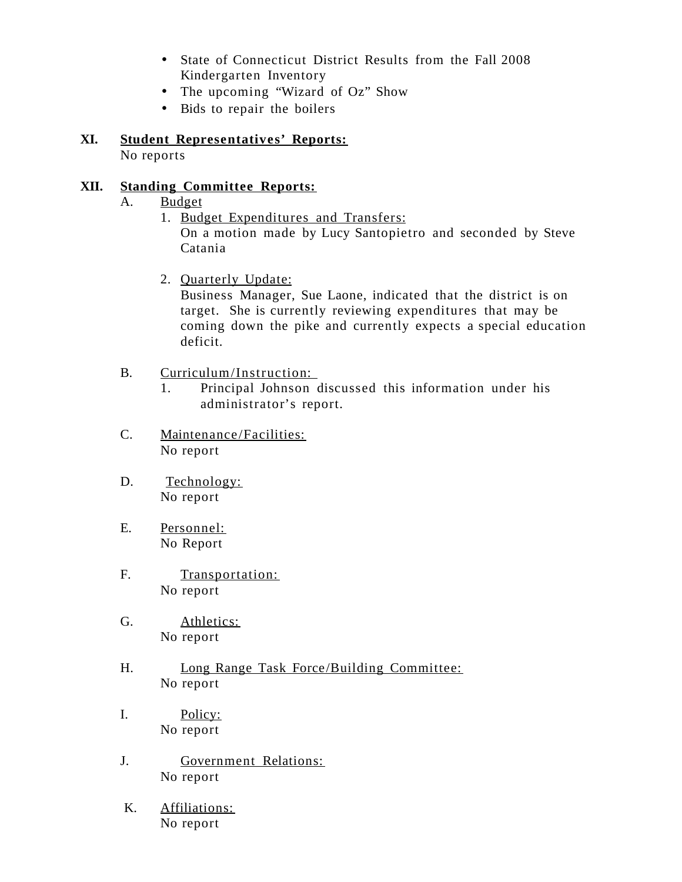- State of Connecticut District Results from the Fall 2008 Kindergarten Inventory
- The upcoming "Wizard of Oz" Show
- Bids to repair the boilers

#### **XI. Student Representatives' Reports:** No reports

### **XII. Standing Committee Reports:**

- A. Budget
	- 1. Budget Expenditures and Transfers: On a motion made by Lucy Santopietro and seconded by Steve Catania
	- 2. Quarterly Update:

Business Manager, Sue Laone, indicated that the district is on target. She is currently reviewing expenditures that may be coming down the pike and currently expects a special education deficit.

#### B. Curriculum/Instruction:

- 1. Principal Johnson discussed this information under his administrator's report.
- C. Maintenance /Facilities: No report
- D. Technology: No report
- E. Personnel: No Report
- F. Transportation: No report
- G. Athletics: No report
- H. Long Range Task Force/Building Committee: No report
- I. Policy: No report
- J. Government Relations: No report
- K. Affiliations: No report